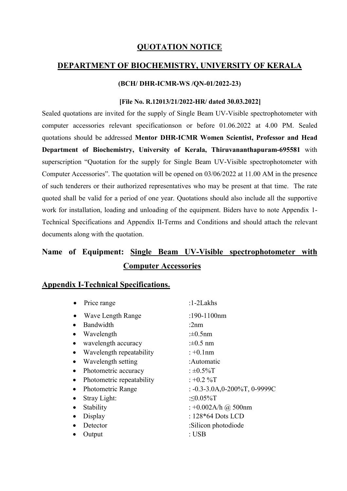## QUOTATION NOTICE

## DEPARTMENT OF BIOCHEMISTRY, UNIVERSITY OF KERALA

### (BCH/ DHR-ICMR-WS /QN-01/2022-23)

#### [File No. R.12013/21/2022-HR/ dated 30.03.2022]

Sealed quotations are invited for the supply of Single Beam UV-Visible spectrophotometer with computer accessories relevant specificationson or before 01.06.2022 at 4.00 PM. Sealed quotations should be addressed Mentor DHR-ICMR Women Scientist, Professor and Head Department of Biochemistry, University of Kerala, Thiruvananthapuram-695581 with superscription "Quotation for the supply for Single Beam UV-Visible spectrophotometer with Computer Accessories". The quotation will be opened on 03/06/2022 at 11.00 AM in the presence of such tenderers or their authorized representatives who may be present at that time. The rate quoted shall be valid for a period of one year. Quotations should also include all the supportive work for installation, loading and unloading of the equipment. Biders have to note Appendix 1- Technical Specifications and Appendix II-Terms and Conditions and should attach the relevant documents along with the quotation.

# Name of Equipment: Single Beam UV-Visible spectrophotometer with Computer Accessories

## Appendix I-Technical Specifications.

|           | Price range               | $:1-2$ Lakhs                        |
|-----------|---------------------------|-------------------------------------|
|           | Wave Length Range         | :190-1100nm                         |
|           | Bandwidth                 | : $2nm$                             |
|           | Wavelength                | : $\pm 0.5$ nm                      |
|           | wavelength accuracy       | : $\pm 0.5$ nm                      |
|           | Wavelength repeatability  | $: +0.1$ nm                         |
|           | Wavelength setting        | :Automatic                          |
| $\bullet$ | Photometric accuracy      | : $\pm 0.5\%$ T                     |
| $\bullet$ | Photometric repeatability | $: +0.2 \%T$                        |
|           | <b>Photometric Range</b>  | $: -0.3 -3.0A, 0 -200\%T, 0 -9999C$ |
|           | Stray Light:              | : $\leq 0.05\%$ T                   |
|           | Stability                 | : +0.002A/h @ 500nm                 |
|           | Display                   | : $128*64$ Dots LCD                 |
|           | Detector                  | :Silicon photodiode                 |
|           | Output                    | : USB                               |
|           |                           |                                     |